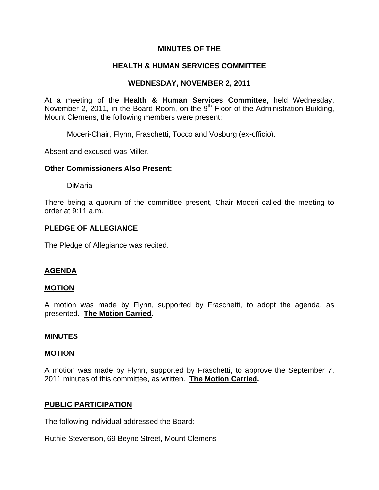## **MINUTES OF THE**

## **HEALTH & HUMAN SERVICES COMMITTEE**

## **WEDNESDAY, NOVEMBER 2, 2011**

At a meeting of the **Health & Human Services Committee**, held Wednesday, November 2, 2011, in the Board Room, on the  $9<sup>th</sup>$  Floor of the Administration Building, Mount Clemens, the following members were present:

Moceri-Chair, Flynn, Fraschetti, Tocco and Vosburg (ex-officio).

Absent and excused was Miller.

## **Other Commissioners Also Present:**

DiMaria

There being a quorum of the committee present, Chair Moceri called the meeting to order at 9:11 a.m.

### **PLEDGE OF ALLEGIANCE**

The Pledge of Allegiance was recited.

### **AGENDA**

### **MOTION**

A motion was made by Flynn, supported by Fraschetti, to adopt the agenda, as presented. **The Motion Carried.** 

### **MINUTES**

#### **MOTION**

A motion was made by Flynn, supported by Fraschetti, to approve the September 7, 2011 minutes of this committee, as written. **The Motion Carried.** 

### **PUBLIC PARTICIPATION**

The following individual addressed the Board:

Ruthie Stevenson, 69 Beyne Street, Mount Clemens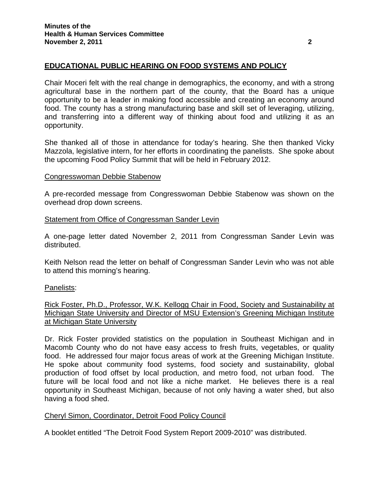## **EDUCATIONAL PUBLIC HEARING ON FOOD SYSTEMS AND POLICY**

Chair Moceri felt with the real change in demographics, the economy, and with a strong agricultural base in the northern part of the county, that the Board has a unique opportunity to be a leader in making food accessible and creating an economy around food. The county has a strong manufacturing base and skill set of leveraging, utilizing, and transferring into a different way of thinking about food and utilizing it as an opportunity.

She thanked all of those in attendance for today's hearing. She then thanked Vicky Mazzola, legislative intern, for her efforts in coordinating the panelists. She spoke about the upcoming Food Policy Summit that will be held in February 2012.

#### Congresswoman Debbie Stabenow

A pre-recorded message from Congresswoman Debbie Stabenow was shown on the overhead drop down screens.

### Statement from Office of Congressman Sander Levin

A one-page letter dated November 2, 2011 from Congressman Sander Levin was distributed.

Keith Nelson read the letter on behalf of Congressman Sander Levin who was not able to attend this morning's hearing.

### Panelists:

Rick Foster, Ph.D., Professor, W.K. Kellogg Chair in Food, Society and Sustainability at Michigan State University and Director of MSU Extension's Greening Michigan Institute at Michigan State University

Dr. Rick Foster provided statistics on the population in Southeast Michigan and in Macomb County who do not have easy access to fresh fruits, vegetables, or quality food. He addressed four major focus areas of work at the Greening Michigan Institute. He spoke about community food systems, food society and sustainability, global production of food offset by local production, and metro food, not urban food. The future will be local food and not like a niche market. He believes there is a real opportunity in Southeast Michigan, because of not only having a water shed, but also having a food shed.

### Cheryl Simon, Coordinator, Detroit Food Policy Council

A booklet entitled "The Detroit Food System Report 2009-2010" was distributed.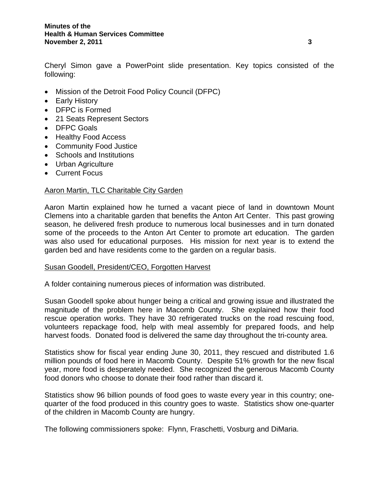Cheryl Simon gave a PowerPoint slide presentation. Key topics consisted of the following:

- Mission of the Detroit Food Policy Council (DFPC)
- Early History
- DFPC is Formed
- 21 Seats Represent Sectors
- DFPC Goals
- Healthy Food Access
- Community Food Justice
- Schools and Institutions
- Urban Agriculture
- Current Focus

## Aaron Martin, TLC Charitable City Garden

Aaron Martin explained how he turned a vacant piece of land in downtown Mount Clemens into a charitable garden that benefits the Anton Art Center. This past growing season, he delivered fresh produce to numerous local businesses and in turn donated some of the proceeds to the Anton Art Center to promote art education. The garden was also used for educational purposes. His mission for next year is to extend the garden bed and have residents come to the garden on a regular basis.

### Susan Goodell, President/CEO, Forgotten Harvest

A folder containing numerous pieces of information was distributed.

Susan Goodell spoke about hunger being a critical and growing issue and illustrated the magnitude of the problem here in Macomb County. She explained how their food rescue operation works. They have 30 refrigerated trucks on the road rescuing food, volunteers repackage food, help with meal assembly for prepared foods, and help harvest foods. Donated food is delivered the same day throughout the tri-county area.

Statistics show for fiscal year ending June 30, 2011, they rescued and distributed 1.6 million pounds of food here in Macomb County. Despite 51% growth for the new fiscal year, more food is desperately needed. She recognized the generous Macomb County food donors who choose to donate their food rather than discard it.

Statistics show 96 billion pounds of food goes to waste every year in this country; onequarter of the food produced in this country goes to waste. Statistics show one-quarter of the children in Macomb County are hungry.

The following commissioners spoke: Flynn, Fraschetti, Vosburg and DiMaria.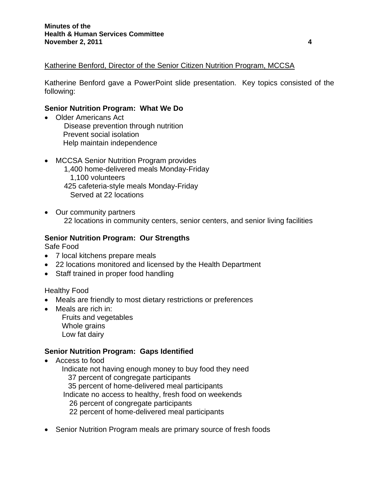## Katherine Benford, Director of the Senior Citizen Nutrition Program, MCCSA

Katherine Benford gave a PowerPoint slide presentation. Key topics consisted of the following:

#### **Senior Nutrition Program: What We Do**

- Older Americans Act Disease prevention through nutrition Prevent social isolation Help maintain independence
- MCCSA Senior Nutrition Program provides 1,400 home-delivered meals Monday-Friday 1,100 volunteers 425 cafeteria-style meals Monday-Friday Served at 22 locations
- Our community partners 22 locations in community centers, senior centers, and senior living facilities

#### **Senior Nutrition Program: Our Strengths**

Safe Food

- 7 local kitchens prepare meals
- 22 locations monitored and licensed by the Health Department
- Staff trained in proper food handling

### Healthy Food

- Meals are friendly to most dietary restrictions or preferences
- Meals are rich in: Fruits and vegetables
	- Whole grains Low fat dairy

## **Senior Nutrition Program: Gaps Identified**

• Access to food

 Indicate not having enough money to buy food they need 37 percent of congregate participants 35 percent of home-delivered meal participants Indicate no access to healthy, fresh food on weekends 26 percent of congregate participants 22 percent of home-delivered meal participants

• Senior Nutrition Program meals are primary source of fresh foods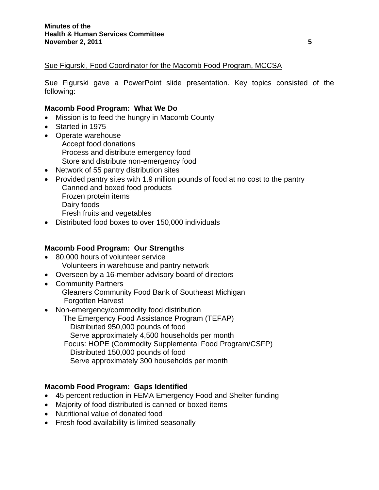## Sue Figurski, Food Coordinator for the Macomb Food Program, MCCSA

Sue Figurski gave a PowerPoint slide presentation. Key topics consisted of the following:

## **Macomb Food Program: What We Do**

- Mission is to feed the hungry in Macomb County
- Started in 1975
- Operate warehouse Accept food donations Process and distribute emergency food Store and distribute non-emergency food
- Network of 55 pantry distribution sites
- Provided pantry sites with 1.9 million pounds of food at no cost to the pantry Canned and boxed food products Frozen protein items Dairy foods Fresh fruits and vegetables
- Distributed food boxes to over 150,000 individuals

## **Macomb Food Program: Our Strengths**

- 80,000 hours of volunteer service Volunteers in warehouse and pantry network
- Overseen by a 16-member advisory board of directors
- Community Partners Gleaners Community Food Bank of Southeast Michigan Forgotten Harvest
- Non-emergency/commodity food distribution
	- The Emergency Food Assistance Program (TEFAP) Distributed 950,000 pounds of food Serve approximately 4,500 households per month Focus: HOPE (Commodity Supplemental Food Program/CSFP) Distributed 150,000 pounds of food Serve approximately 300 households per month

## **Macomb Food Program: Gaps Identified**

- 45 percent reduction in FEMA Emergency Food and Shelter funding
- Majority of food distributed is canned or boxed items
- Nutritional value of donated food
- Fresh food availability is limited seasonally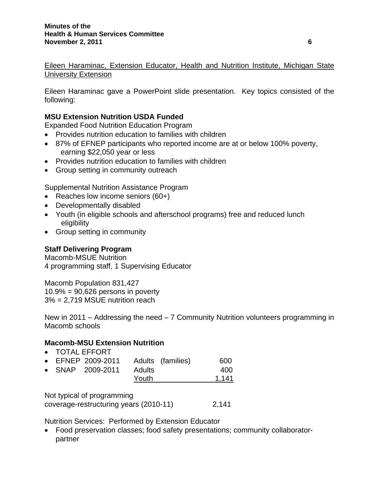Eileen Haraminac, Extension Educator, Health and Nutrition Institute, Michigan State University Extension

Eileen Haraminac gave a PowerPoint slide presentation. Key topics consisted of the following:

## **MSU Extension Nutrition USDA Funded**

Expanded Food Nutrition Education Program

- Provides nutrition education to families with children
- 87% of EFNEP participants who reported income are at or below 100% poverty, earning \$22,050 year or less
- Provides nutrition education to families with children
- Group setting in community outreach

Supplemental Nutrition Assistance Program

- Reaches low income seniors (60+)
- Developmentally disabled
- Youth (in eligible schools and afterschool programs) free and reduced lunch eligibility
- Group setting in community

## **Staff Delivering Program**

Macomb-MSUE Nutrition 4 programming staff, 1 Supervising Educator

Macomb Population 831,427  $10.9\% = 90,626$  persons in poverty 3% = 2,719 MSUE nutrition reach

New in 2011 – Addressing the need – 7 Community Nutrition volunteers programming in Macomb schools

## **Macomb-MSU Extension Nutrition**

• TOTAL EFFORT

|  | • EFNEP 2009-2011 |        | Adults (families) | 600   |
|--|-------------------|--------|-------------------|-------|
|  | • SNAP 2009-2011  | Adults |                   | 400   |
|  |                   | Youth  |                   | 1,141 |

Not typical of programming coverage-restructuring years (2010-11) 2,141

Nutrition Services: Performed by Extension Educator

• Food preservation classes; food safety presentations; community collaboratorpartner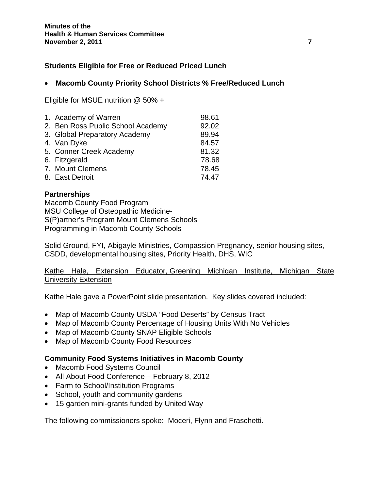## **Students Eligible for Free or Reduced Priced Lunch**

## • **Macomb County Priority School Districts % Free/Reduced Lunch**

Eligible for MSUE nutrition @ 50% +

| 1. Academy of Warren              | 98.61 |
|-----------------------------------|-------|
| 2. Ben Ross Public School Academy | 92.02 |
| 3. Global Preparatory Academy     | 89.94 |
| 4. Van Dyke                       | 84.57 |
| 5. Conner Creek Academy           | 81.32 |
| 6. Fitzgerald                     | 78.68 |
| 7. Mount Clemens                  | 78.45 |
| 8. East Detroit                   | 74.47 |

## **Partnerships**

Macomb County Food Program MSU College of Osteopathic Medicine-S(P)artner's Program Mount Clemens Schools Programming in Macomb County Schools

Solid Ground, FYI, Abigayle Ministries, Compassion Pregnancy, senior housing sites, CSDD, developmental housing sites, Priority Health, DHS, WIC

Kathe Hale, Extension Educator, Greening Michigan Institute, Michigan State University Extension

Kathe Hale gave a PowerPoint slide presentation. Key slides covered included:

- Map of Macomb County USDA "Food Deserts" by Census Tract
- Map of Macomb County Percentage of Housing Units With No Vehicles
- Map of Macomb County SNAP Eligible Schools
- Map of Macomb County Food Resources

### **Community Food Systems Initiatives in Macomb County**

- Macomb Food Systems Council
- All About Food Conference February 8, 2012
- Farm to School/Institution Programs
- School, youth and community gardens
- 15 garden mini-grants funded by United Way

The following commissioners spoke: Moceri, Flynn and Fraschetti.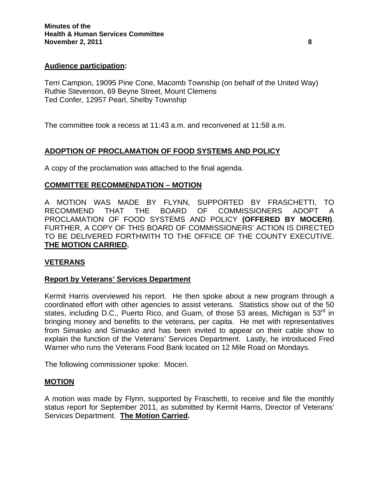## **Audience participation:**

Terri Campion, 19095 Pine Cone, Macomb Township (on behalf of the United Way) Ruthie Stevenson, 69 Beyne Street, Mount Clemens Ted Confer, 12957 Pearl, Shelby Township

The committee took a recess at 11:43 a.m. and reconvened at 11:58 a.m.

## **ADOPTION OF PROCLAMATION OF FOOD SYSTEMS AND POLICY**

A copy of the proclamation was attached to the final agenda.

## **COMMITTEE RECOMMENDATION – MOTION**

A MOTION WAS MADE BY FLYNN, SUPPORTED BY FRASCHETTI, TO RECOMMEND THAT THE BOARD OF COMMISSIONERS ADOPT A PROCLAMATION OF FOOD SYSTEMS AND POLICY **(OFFERED BY MOCERI)**. FURTHER, A COPY OF THIS BOARD OF COMMISSIONERS' ACTION IS DIRECTED TO BE DELIVERED FORTHWITH TO THE OFFICE OF THE COUNTY EXECUTIVE. **THE MOTION CARRIED.** 

## **VETERANS**

### **Report by Veterans' Services Department**

Kermit Harris overviewed his report. He then spoke about a new program through a coordinated effort with other agencies to assist veterans. Statistics show out of the 50 states, including D.C., Puerto Rico, and Guam, of those 53 areas, Michigan is  $53^{\text{rd}}$  in bringing money and benefits to the veterans, per capita. He met with representatives from Simasko and Simasko and has been invited to appear on their cable show to explain the function of the Veterans' Services Department. Lastly, he introduced Fred Warner who runs the Veterans Food Bank located on 12 Mile Road on Mondays.

The following commissioner spoke: Moceri.

### **MOTION**

A motion was made by Flynn, supported by Fraschetti, to receive and file the monthly status report for September 2011, as submitted by Kermit Harris, Director of Veterans' Services Department. **The Motion Carried.**